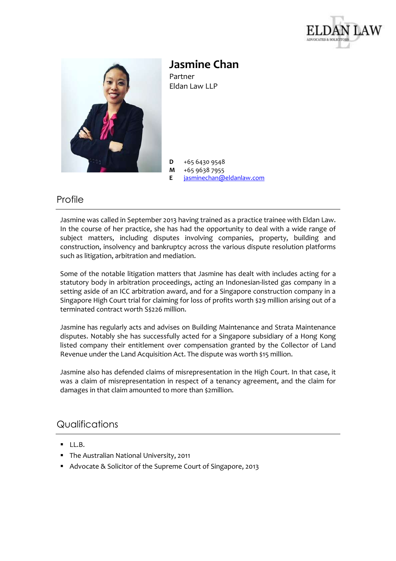



**Jasmine Chan** Partner Eldan Law LLP

**D** +65 6430 9548

**M** +65 9638 7955<br>**E** *iasminechan@* [jasminechan@eldanlaw.com](mailto:jasminechan@eldanlaw.com)

## Profile

Jasmine was called in September 2013 having trained as a practice trainee with Eldan Law. In the course of her practice, she has had the opportunity to deal with a wide range of subject matters, including disputes involving companies, property, building and construction, insolvency and bankruptcy across the various dispute resolution platforms such as litigation, arbitration and mediation.

Some of the notable litigation matters that Jasmine has dealt with includes acting for a statutory body in arbitration proceedings, acting an Indonesian-listed gas company in a setting aside of an ICC arbitration award, and for a Singapore construction company in a Singapore High Court trial for claiming for loss of profits worth \$29 million arising out of a terminated contract worth S\$226 million.

Jasmine has regularly acts and advises on Building Maintenance and Strata Maintenance disputes. Notably she has successfully acted for a Singapore subsidiary of a Hong Kong listed company their entitlement over compensation granted by the Collector of Land Revenue under the Land Acquisition Act. The dispute was worth \$15 million.

Jasmine also has defended claims of misrepresentation in the High Court. In that case, it was a claim of misrepresentation in respect of a tenancy agreement, and the claim for damages in that claim amounted to more than \$2million.

## **Qualifications**

- $\blacksquare$  LL.B.
- **The Australian National University, 2011**
- Advocate & Solicitor of the Supreme Court of Singapore, 2013